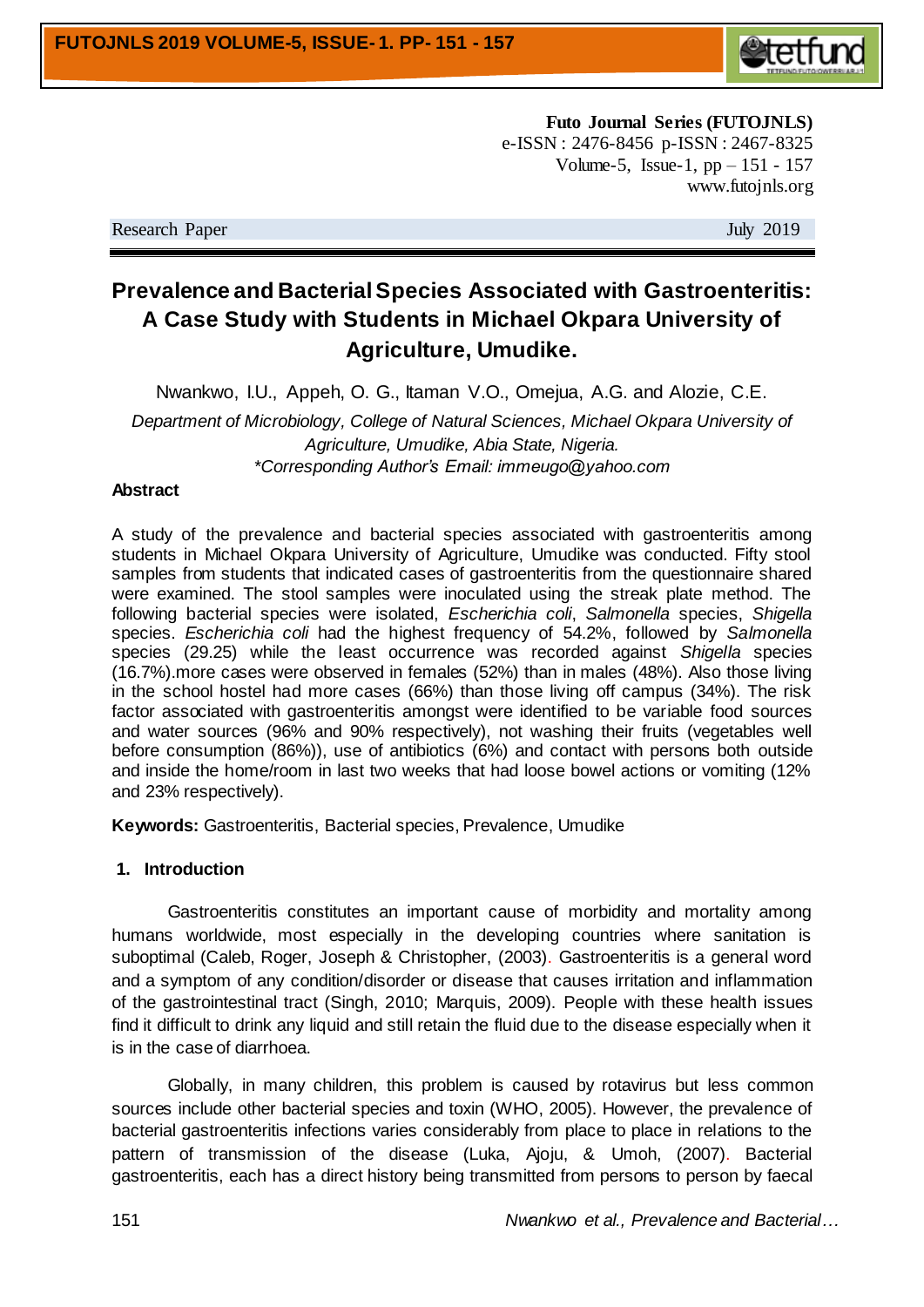

**Futo Journal Series (FUTOJNLS)** e-ISSN : 2476-8456 p-ISSN : 2467-8325 Volume-5, Issue-1, pp – 151 - 157 www.futojnls.org

Research Paper July 2019

# **Prevalence and Bacterial Species Associated with Gastroenteritis: A Case Study with Students in Michael Okpara University of Agriculture, Umudike.**

Nwankwo, I.U., Appeh, O. G., Itaman V.O., Omejua, A.G. and Alozie, C.E. *Department of Microbiology, College of Natural Sciences, Michael Okpara University of Agriculture, Umudike, Abia State, Nigeria. \*Corresponding Author's Email: immeugo@yahoo.com*

#### **Abstract**

A study of the prevalence and bacterial species associated with gastroenteritis among students in Michael Okpara University of Agriculture, Umudike was conducted. Fifty stool samples from students that indicated cases of gastroenteritis from the questionnaire shared were examined. The stool samples were inoculated using the streak plate method. The following bacterial species were isolated, *Escherichia coli*, *Salmonella* species, *Shigella* species. *Escherichia coli* had the highest frequency of 54.2%, followed by *Salmonella* species (29.25) while the least occurrence was recorded against *Shigella* species (16.7%).more cases were observed in females (52%) than in males (48%). Also those living in the school hostel had more cases (66%) than those living off campus (34%). The risk factor associated with gastroenteritis amongst were identified to be variable food sources and water sources (96% and 90% respectively), not washing their fruits (vegetables well before consumption (86%)), use of antibiotics (6%) and contact with persons both outside and inside the home/room in last two weeks that had loose bowel actions or vomiting (12% and 23% respectively).

**Keywords:** Gastroenteritis, Bacterial species, Prevalence, Umudike

#### **1. Introduction**

Gastroenteritis constitutes an important cause of morbidity and mortality among humans worldwide, most especially in the developing countries where sanitation is suboptimal (Caleb, Roger, Joseph & Christopher, (2003). Gastroenteritis is a general word and a symptom of any condition/disorder or disease that causes irritation and inflammation of the gastrointestinal tract (Singh, 2010; Marquis, 2009). People with these health issues find it difficult to drink any liquid and still retain the fluid due to the disease especially when it is in the case of diarrhoea.

Globally, in many children, this problem is caused by rotavirus but less common sources include other bacterial species and toxin (WHO, 2005). However, the prevalence of bacterial gastroenteritis infections varies considerably from place to place in relations to the pattern of transmission of the disease (Luka, Ajoju, & Umoh, (2007). Bacterial gastroenteritis, each has a direct history being transmitted from persons to person by faecal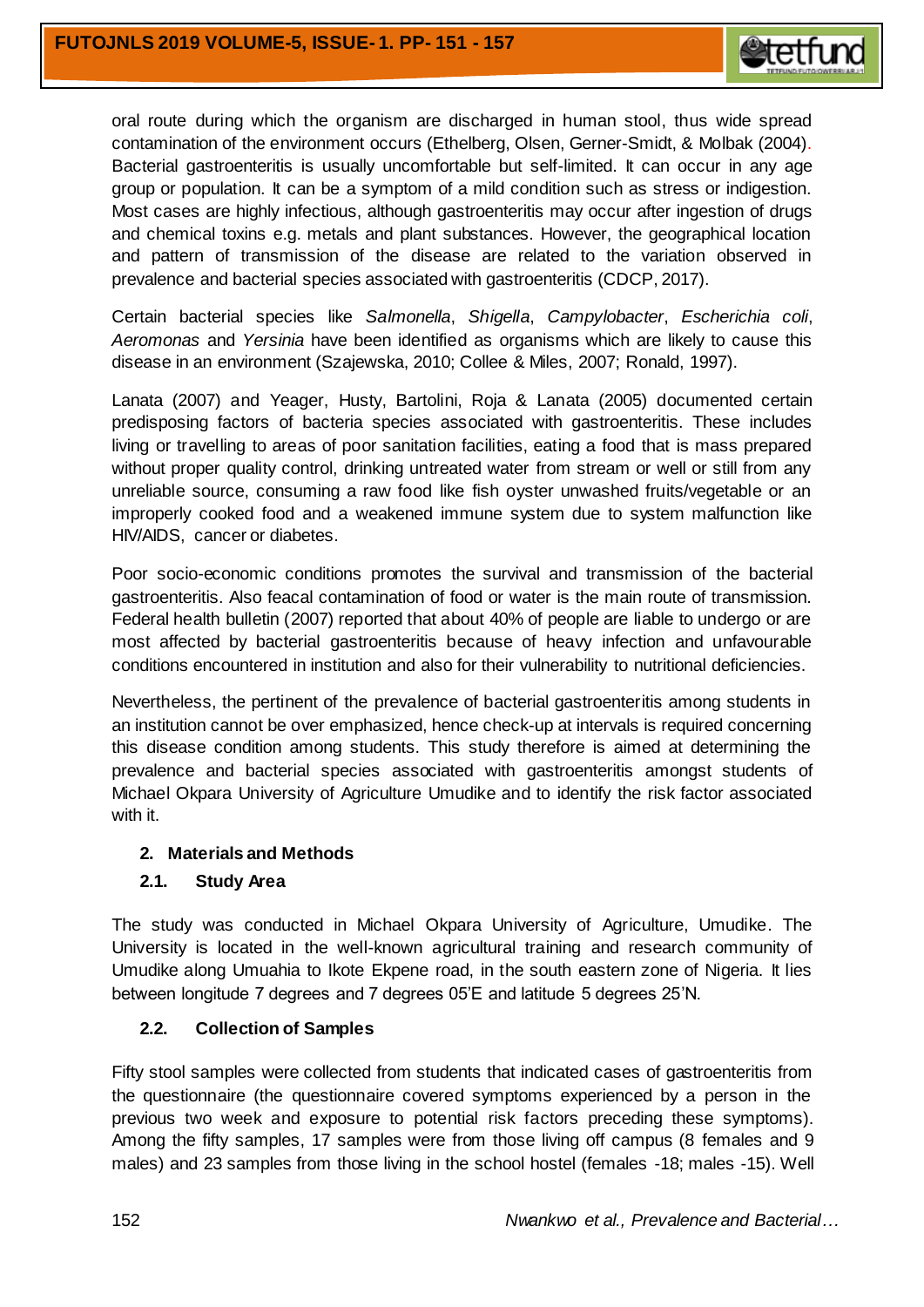

oral route during which the organism are discharged in human stool, thus wide spread contamination of the environment occurs (Ethelberg, Olsen, Gerner-Smidt, & Molbak (2004). Bacterial gastroenteritis is usually uncomfortable but self-limited. It can occur in any age group or population. It can be a symptom of a mild condition such as stress or indigestion. Most cases are highly infectious, although gastroenteritis may occur after ingestion of drugs and chemical toxins e.g. metals and plant substances. However, the geographical location and pattern of transmission of the disease are related to the variation observed in prevalence and bacterial species associated with gastroenteritis (CDCP, 2017).

Certain bacterial species like *Salmonella*, *Shigella*, *Campylobacter*, *Escherichia coli*, *Aeromonas* and *Yersinia* have been identified as organisms which are likely to cause this disease in an environment (Szajewska, 2010; Collee & Miles, 2007; Ronald, 1997).

Lanata (2007) and Yeager, Husty, Bartolini, Roja & Lanata (2005) documented certain predisposing factors of bacteria species associated with gastroenteritis. These includes living or travelling to areas of poor sanitation facilities, eating a food that is mass prepared without proper quality control, drinking untreated water from stream or well or still from any unreliable source, consuming a raw food like fish oyster unwashed fruits/vegetable or an improperly cooked food and a weakened immune system due to system malfunction like HIV/AIDS, cancer or diabetes.

Poor socio-economic conditions promotes the survival and transmission of the bacterial gastroenteritis. Also feacal contamination of food or water is the main route of transmission. Federal health bulletin (2007) reported that about 40% of people are liable to undergo or are most affected by bacterial gastroenteritis because of heavy infection and unfavourable conditions encountered in institution and also for their vulnerability to nutritional deficiencies.

Nevertheless, the pertinent of the prevalence of bacterial gastroenteritis among students in an institution cannot be over emphasized, hence check-up at intervals is required concerning this disease condition among students. This study therefore is aimed at determining the prevalence and bacterial species associated with gastroenteritis amongst students of Michael Okpara University of Agriculture Umudike and to identify the risk factor associated with it.

# **2. Materials and Methods**

# **2.1. Study Area**

The study was conducted in Michael Okpara University of Agriculture, Umudike. The University is located in the well-known agricultural training and research community of Umudike along Umuahia to Ikote Ekpene road, in the south eastern zone of Nigeria. It lies between longitude 7 degrees and 7 degrees 05'E and latitude 5 degrees 25'N.

# **2.2. Collection of Samples**

Fifty stool samples were collected from students that indicated cases of gastroenteritis from the questionnaire (the questionnaire covered symptoms experienced by a person in the previous two week and exposure to potential risk factors preceding these symptoms). Among the fifty samples, 17 samples were from those living off campus (8 females and 9 males) and 23 samples from those living in the school hostel (females -18; males -15). Well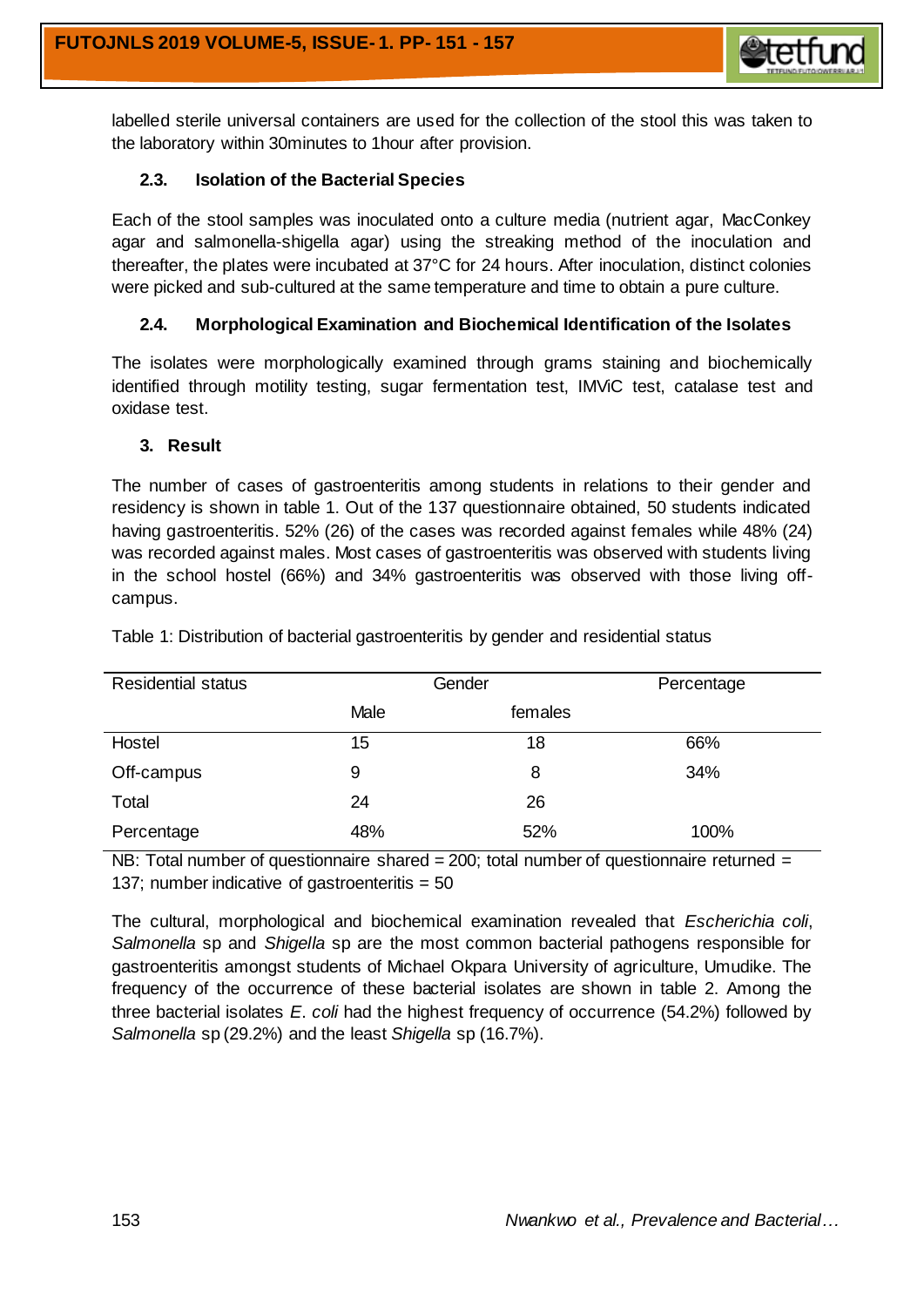

labelled sterile universal containers are used for the collection of the stool this was taken to the laboratory within 30minutes to 1hour after provision.

## **2.3. Isolation of the Bacterial Species**

Each of the stool samples was inoculated onto a culture media (nutrient agar, MacConkey agar and salmonella-shigella agar) using the streaking method of the inoculation and thereafter, the plates were incubated at 37°C for 24 hours. After inoculation, distinct colonies were picked and sub-cultured at the same temperature and time to obtain a pure culture.

## **2.4. Morphological Examination and Biochemical Identification of the Isolates**

The isolates were morphologically examined through grams staining and biochemically identified through motility testing, sugar fermentation test, IMViC test, catalase test and oxidase test.

#### **3. Result**

The number of cases of gastroenteritis among students in relations to their gender and residency is shown in table 1. Out of the 137 questionnaire obtained, 50 students indicated having gastroenteritis. 52% (26) of the cases was recorded against females while 48% (24) was recorded against males. Most cases of gastroenteritis was observed with students living in the school hostel (66%) and 34% gastroenteritis was observed with those living offcampus.

| <b>Residential status</b> | Gender |         | Percentage |
|---------------------------|--------|---------|------------|
|                           | Male   | females |            |
| Hostel                    | 15     | 18      | 66%        |
| Off-campus                | 9      | 8       | 34%        |
| Total                     | 24     | 26      |            |
| Percentage                | 48%    | 52%     | 100%       |

Table 1: Distribution of bacterial gastroenteritis by gender and residential status

NB: Total number of questionnaire shared = 200; total number of questionnaire returned = 137; number indicative of gastroenteritis  $= 50$ 

The cultural, morphological and biochemical examination revealed that *Escherichia coli*, *Salmonella* sp and *Shigella* sp are the most common bacterial pathogens responsible for gastroenteritis amongst students of Michael Okpara University of agriculture, Umudike. The frequency of the occurrence of these bacterial isolates are shown in table 2. Among the three bacterial isolates *E*. *coli* had the highest frequency of occurrence (54.2%) followed by *Salmonella* sp (29.2%) and the least *Shigella* sp (16.7%).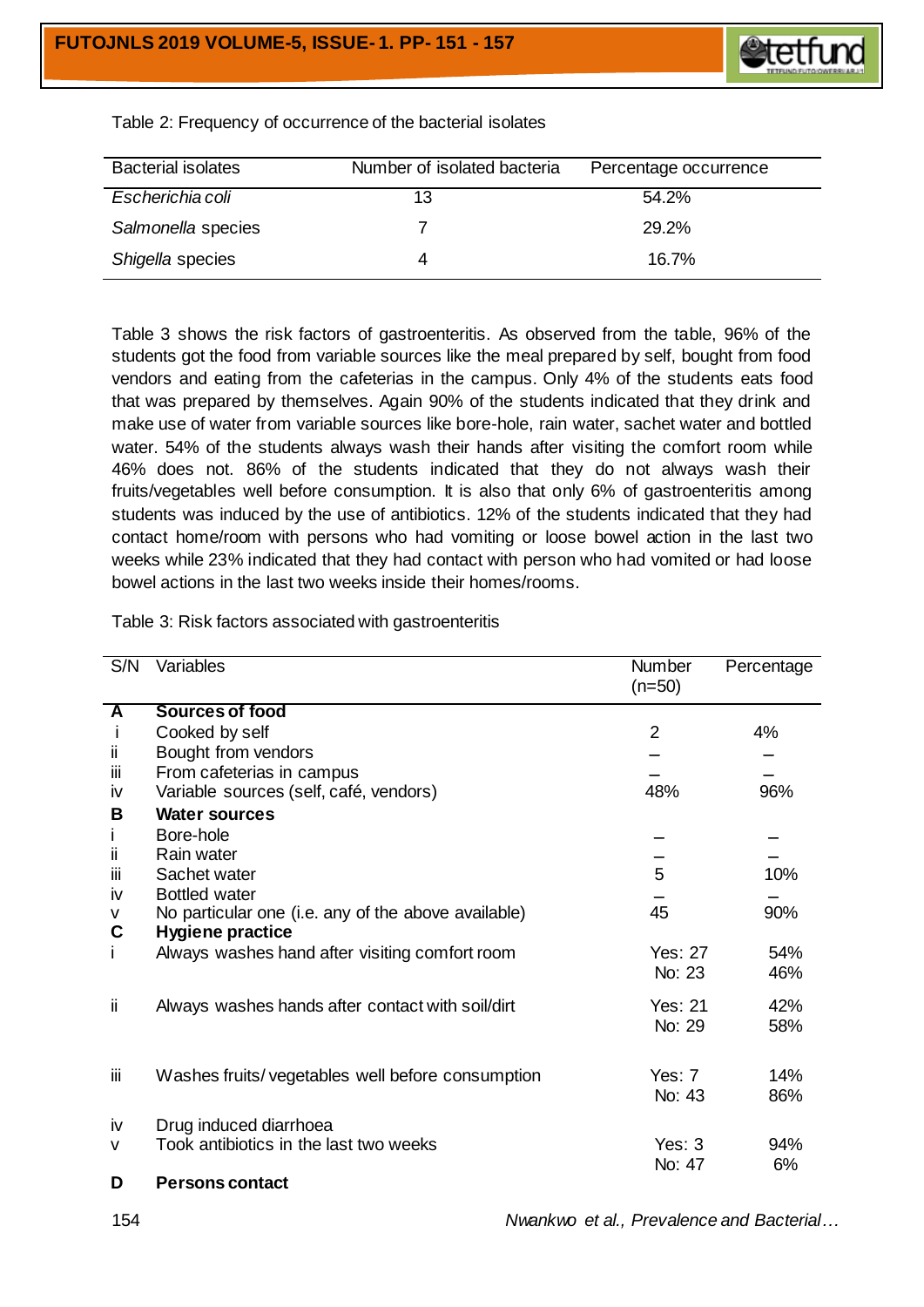

| <b>Bacterial isolates</b> | Number of isolated bacteria | Percentage occurrence |
|---------------------------|-----------------------------|-----------------------|
| Escherichia coli          | 13                          | $54.2\%$              |
| Salmonella species        |                             | 29.2%                 |
| Shigella species          |                             | 16.7%                 |

Table 2: Frequency of occurrence of the bacterial isolates

Table 3 shows the risk factors of gastroenteritis. As observed from the table, 96% of the students got the food from variable sources like the meal prepared by self, bought from food vendors and eating from the cafeterias in the campus. Only 4% of the students eats food that was prepared by themselves. Again 90% of the students indicated that they drink and make use of water from variable sources like bore-hole, rain water, sachet water and bottled water. 54% of the students always wash their hands after visiting the comfort room while 46% does not. 86% of the students indicated that they do not always wash their fruits/vegetables well before consumption. It is also that only 6% of gastroenteritis among students was induced by the use of antibiotics. 12% of the students indicated that they had contact home/room with persons who had vomiting or loose bowel action in the last two weeks while 23% indicated that they had contact with person who had vomited or had loose bowel actions in the last two weeks inside their homes/rooms.

Table 3: Risk factors associated with gastroenteritis

| S/N    | Variables                                                                      | <b>Number</b><br>$(n=50)$ | Percentage |
|--------|--------------------------------------------------------------------------------|---------------------------|------------|
| A      | <b>Sources of food</b>                                                         |                           |            |
|        | Cooked by self                                                                 | $\overline{2}$            | 4%         |
| ii     | Bought from vendors                                                            |                           |            |
| Ϊİ     | From cafeterias in campus                                                      |                           |            |
| iv     | Variable sources (self, café, vendors)                                         | 48%                       | 96%        |
| B      | <b>Water sources</b>                                                           |                           |            |
| L      | Bore-hole                                                                      |                           |            |
| ii.    | Rain water                                                                     |                           |            |
| iίi    | Sachet water                                                                   | 5                         | 10%        |
| İV     | <b>Bottled water</b>                                                           |                           |            |
| v<br>C | No particular one (i.e. any of the above available)<br><b>Hygiene practice</b> | 45                        | 90%        |
| Ť.     | Always washes hand after visiting comfort room                                 | Yes: 27                   | 54%        |
|        |                                                                                | No: 23                    | 46%        |
| ii.    | Always washes hands after contact with soil/dirt                               | <b>Yes: 21</b>            | 42%        |
|        |                                                                                | No: 29                    | 58%        |
| Ϊİ     | Washes fruits/vegetables well before consumption                               | Yes: $7$                  | 14%        |
|        |                                                                                | No: 43                    | 86%        |
| iv     | Drug induced diarrhoea                                                         |                           |            |
| v      | Took antibiotics in the last two weeks                                         | Yes: $3$                  | 94%        |
|        |                                                                                | No: 47                    | 6%         |
| D      | <b>Persons contact</b>                                                         |                           |            |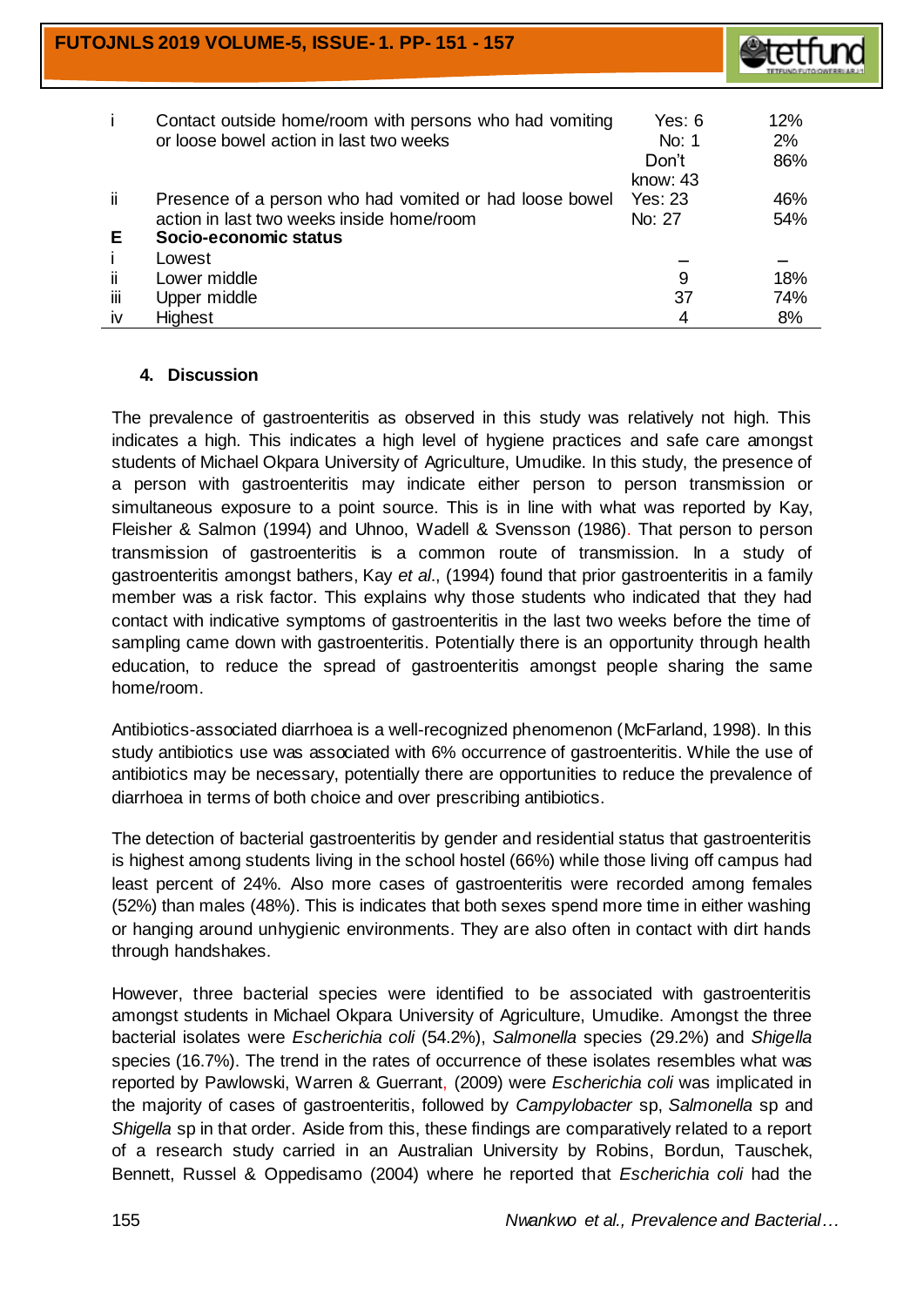**FUTOJNLS 2019 VOLUME-5, ISSUE- 1. PP- 151 - 157**



| i.  | Contact outside home/room with persons who had vomiting<br>or loose bowel action in last two weeks | Yes: $6$<br>No: 1<br>Don't | 12%<br>2%<br>86% |
|-----|----------------------------------------------------------------------------------------------------|----------------------------|------------------|
|     |                                                                                                    | know: 43                   |                  |
| ji. | Presence of a person who had vomited or had loose bowel                                            | <b>Yes: 23</b>             | 46%              |
|     | action in last two weeks inside home/room                                                          | No: 27                     | 54%              |
| E.  | Socio-economic status                                                                              |                            |                  |
| j.  | Lowest                                                                                             |                            |                  |
| ii. | Lower middle                                                                                       | 9                          | 18%              |
| iii | Upper middle                                                                                       | 37                         | 74%              |
| iv  | <b>Highest</b>                                                                                     | 4                          | 8%               |

## **4. Discussion**

The prevalence of gastroenteritis as observed in this study was relatively not high. This indicates a high. This indicates a high level of hygiene practices and safe care amongst students of Michael Okpara University of Agriculture, Umudike. In this study, the presence of a person with gastroenteritis may indicate either person to person transmission or simultaneous exposure to a point source. This is in line with what was reported by Kay, Fleisher & Salmon (1994) and Uhnoo, Wadell & Svensson (1986). That person to person transmission of gastroenteritis is a common route of transmission. In a study of gastroenteritis amongst bathers, Kay *et al*., (1994) found that prior gastroenteritis in a family member was a risk factor. This explains why those students who indicated that they had contact with indicative symptoms of gastroenteritis in the last two weeks before the time of sampling came down with gastroenteritis. Potentially there is an opportunity through health education, to reduce the spread of gastroenteritis amongst people sharing the same home/room.

Antibiotics-associated diarrhoea is a well-recognized phenomenon (McFarland, 1998). In this study antibiotics use was associated with 6% occurrence of gastroenteritis. While the use of antibiotics may be necessary, potentially there are opportunities to reduce the prevalence of diarrhoea in terms of both choice and over prescribing antibiotics.

The detection of bacterial gastroenteritis by gender and residential status that gastroenteritis is highest among students living in the school hostel (66%) while those living off campus had least percent of 24%. Also more cases of gastroenteritis were recorded among females (52%) than males (48%). This is indicates that both sexes spend more time in either washing or hanging around unhygienic environments. They are also often in contact with dirt hands through handshakes.

However, three bacterial species were identified to be associated with gastroenteritis amongst students in Michael Okpara University of Agriculture, Umudike. Amongst the three bacterial isolates were *Escherichia coli* (54.2%), *Salmonella* species (29.2%) and *Shigella* species (16.7%). The trend in the rates of occurrence of these isolates resembles what was reported by Pawlowski, Warren & Guerrant, (2009) were *Escherichia coli* was implicated in the majority of cases of gastroenteritis, followed by *Campylobacter* sp, *Salmonella* sp and *Shigella* sp in that order. Aside from this, these findings are comparatively related to a report of a research study carried in an Australian University by Robins, Bordun, Tauschek, Bennett, Russel & Oppedisamo (2004) where he reported that *Escherichia coli* had the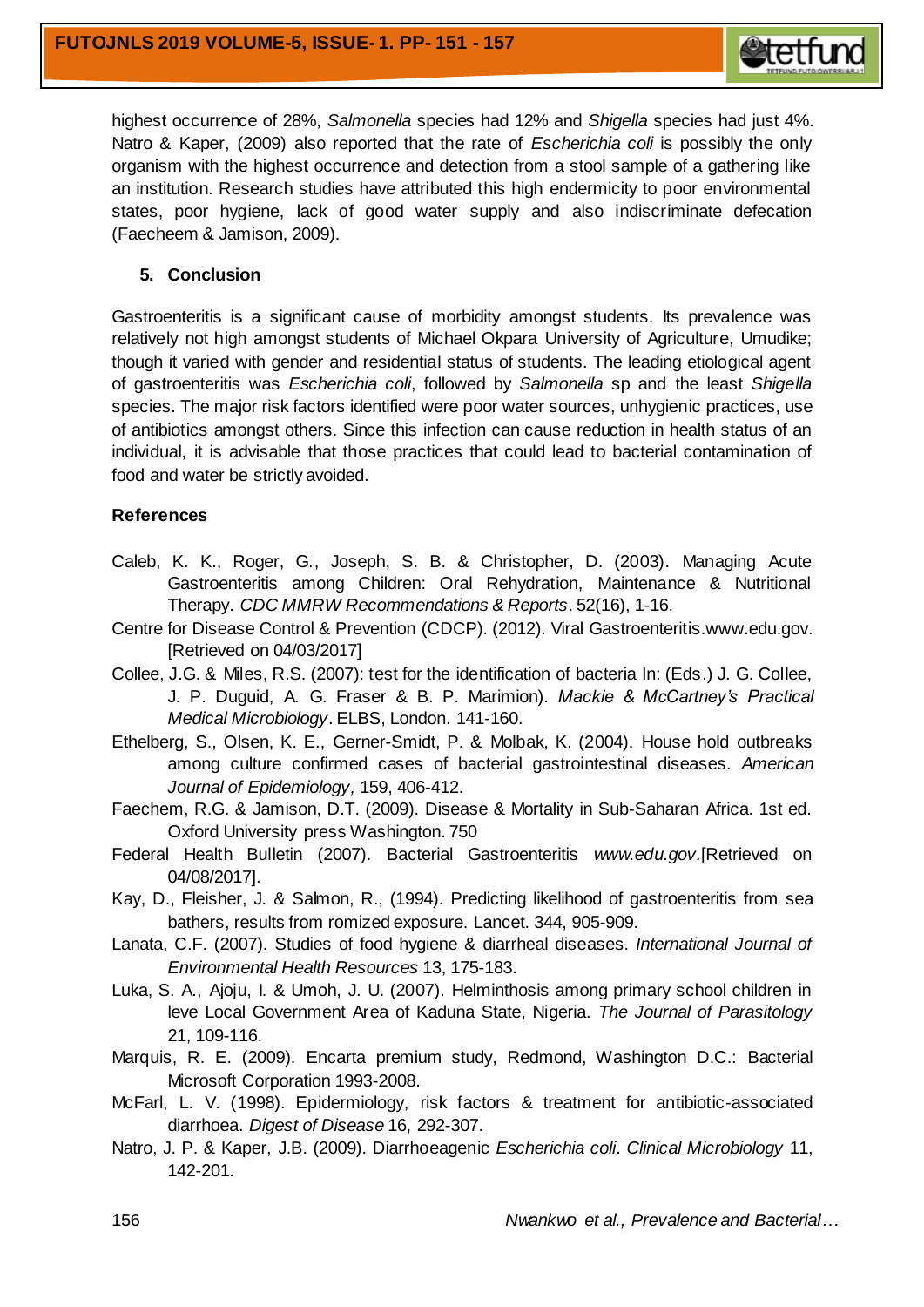

highest occurrence of 28%, *Salmonella* species had 12% and *Shigella* species had just 4%. Natro & Kaper, (2009) also reported that the rate of *Escherichia coli* is possibly the only organism with the highest occurrence and detection from a stool sample of a gathering like an institution. Research studies have attributed this high endermicity to poor environmental states, poor hygiene, lack of good water supply and also indiscriminate defecation (Faecheem & Jamison, 2009).

# **5. Conclusion**

Gastroenteritis is a significant cause of morbidity amongst students. Its prevalence was relatively not high amongst students of Michael Okpara University of Agriculture, Umudike; though it varied with gender and residential status of students. The leading etiological agent of gastroenteritis was *Escherichia coli*, followed by *Salmonella* sp and the least *Shigella* species. The major risk factors identified were poor water sources, unhygienic practices, use of antibiotics amongst others. Since this infection can cause reduction in health status of an individual, it is advisable that those practices that could lead to bacterial contamination of food and water be strictly avoided.

# **References**

- Caleb, K. K., Roger, G., Joseph, S. B. & Christopher, D. (2003). Managing Acute Gastroenteritis among Children: Oral Rehydration, Maintenance & Nutritional Therapy. *CDC MMRW Recommendations & Reports*. 52(16), 1-16.
- Centre for Disease Control & Prevention (CDCP). (2012). Viral Gastroenteritis.www.edu.gov. [Retrieved on 04/03/2017]
- Collee, J.G. & Miles, R.S. (2007): test for the identification of bacteria In: (Eds.) J. G. Collee, J. P. Duguid, A. G. Fraser & B. P. Marimion). *Mackie & McCartney's Practical Medical Microbiology*. ELBS, London. 141-160.
- Ethelberg, S., Olsen, K. E., Gerner-Smidt, P. & Molbak, K. (2004). House hold outbreaks among culture confirmed cases of bacterial gastrointestinal diseases. *American Journal of Epidemiology,* 159, 406-412.
- Faechem, R.G. & Jamison, D.T. (2009). Disease & Mortality in Sub-Saharan Africa. 1st ed. Oxford University press Washington. 750
- Federal Health Bulletin (2007). Bacterial Gastroenteritis *www.edu.gov.*[Retrieved on 04/08/2017].
- Kay, D., Fleisher, J. & Salmon, R., (1994). Predicting likelihood of gastroenteritis from sea bathers, results from romized exposure. Lancet. 344, 905-909.
- Lanata, C.F. (2007). Studies of food hygiene & diarrheal diseases. *International Journal of Environmental Health Resources* 13, 175-183.
- Luka, S. A., Ajoju, I. & Umoh, J. U. (2007). Helminthosis among primary school children in leve Local Government Area of Kaduna State, Nigeria. *The Journal of Parasitology* 21, 109-116.
- Marquis, R. E. (2009). Encarta premium study, Redmond, Washington D.C.: Bacterial Microsoft Corporation 1993-2008.
- McFarl, L. V. (1998). Epidermiology, risk factors & treatment for antibiotic-associated diarrhoea. *Digest of Disease* 16, 292-307.
- Natro, J. P. & Kaper, J.B. (2009). Diarrhoeagenic *Escherichia coli*. *Clinical Microbiology* 11, 142-201.